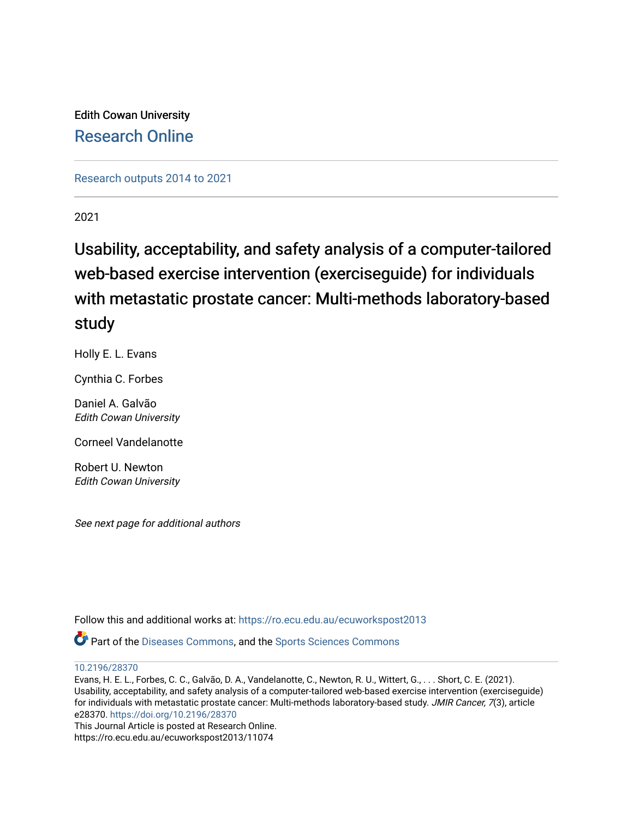Edith Cowan University [Research Online](https://ro.ecu.edu.au/) 

[Research outputs 2014 to 2021](https://ro.ecu.edu.au/ecuworkspost2013) 

2021

# Usability, acceptability, and safety analysis of a computer-tailored web-based exercise intervention (exerciseguide) for individuals with metastatic prostate cancer: Multi-methods laboratory-based study

Holly E. L. Evans

Cynthia C. Forbes

Daniel A. Galvão Edith Cowan University

Corneel Vandelanotte

Robert U. Newton Edith Cowan University

See next page for additional authors

Follow this and additional works at: [https://ro.ecu.edu.au/ecuworkspost2013](https://ro.ecu.edu.au/ecuworkspost2013?utm_source=ro.ecu.edu.au%2Fecuworkspost2013%2F11074&utm_medium=PDF&utm_campaign=PDFCoverPages) 

Part of the [Diseases Commons](http://network.bepress.com/hgg/discipline/813?utm_source=ro.ecu.edu.au%2Fecuworkspost2013%2F11074&utm_medium=PDF&utm_campaign=PDFCoverPages), and the [Sports Sciences Commons](http://network.bepress.com/hgg/discipline/759?utm_source=ro.ecu.edu.au%2Fecuworkspost2013%2F11074&utm_medium=PDF&utm_campaign=PDFCoverPages) 

[10.2196/28370](http://dx.doi.org/10.2196/28370) 

Evans, H. E. L., Forbes, C. C., Galvão, D. A., Vandelanotte, C., Newton, R. U., Wittert, G., . . . Short, C. E. (2021). Usability, acceptability, and safety analysis of a computer-tailored web-based exercise intervention (exerciseguide) for individuals with metastatic prostate cancer: Multi-methods laboratory-based study. JMIR Cancer, 7(3), article e28370. <https://doi.org/10.2196/28370>

This Journal Article is posted at Research Online. https://ro.ecu.edu.au/ecuworkspost2013/11074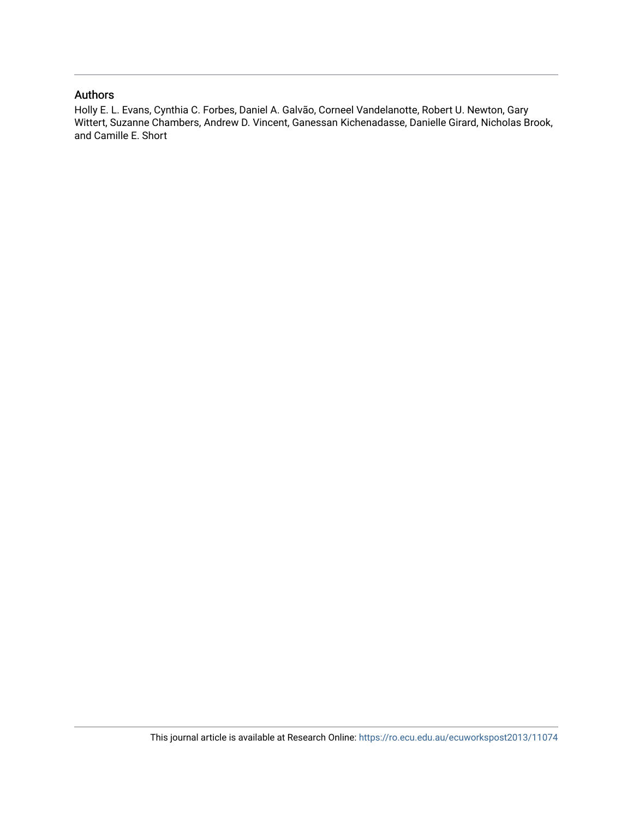#### Authors

Holly E. L. Evans, Cynthia C. Forbes, Daniel A. Galvão, Corneel Vandelanotte, Robert U. Newton, Gary Wittert, Suzanne Chambers, Andrew D. Vincent, Ganessan Kichenadasse, Danielle Girard, Nicholas Brook, and Camille E. Short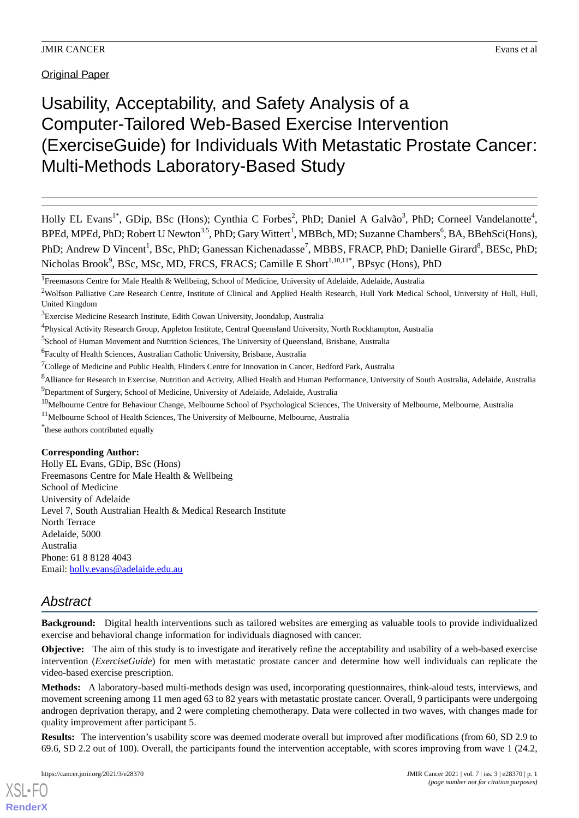# Usability, Acceptability, and Safety Analysis of a Computer-Tailored Web-Based Exercise Intervention (ExerciseGuide) for Individuals With Metastatic Prostate Cancer: Multi-Methods Laboratory-Based Study

Holly EL Evans<sup>1\*</sup>, GDip, BSc (Hons); Cynthia C Forbes<sup>2</sup>, PhD; Daniel A Galvão<sup>3</sup>, PhD; Corneel Vandelanotte<sup>4</sup>, BPEd, MPEd, PhD; Robert U Newton<sup>3,5</sup>, PhD; Gary Wittert<sup>1</sup>, MBBch, MD; Suzanne Chambers<sup>6</sup>, BA, BBehSci(Hons), PhD; Andrew D Vincent<sup>1</sup>, BSc, PhD; Ganessan Kichenadasse<sup>7</sup>, MBBS, FRACP, PhD; Danielle Girard<sup>8</sup>, BESc, PhD; Nicholas Brook<sup>9</sup>, BSc, MSc, MD, FRCS, FRACS; Camille E Short<sup>1,10,11\*</sup>, BPsyc (Hons), PhD

<sup>1</sup> Freemasons Centre for Male Health & Wellbeing, School of Medicine, University of Adelaide, Adelaide, Australia

<sup>5</sup>School of Human Movement and Nutrition Sciences, The University of Queensland, Brisbane, Australia

- <sup>10</sup>Melbourne Centre for Behaviour Change, Melbourne School of Psychological Sciences, The University of Melbourne, Melbourne, Australia
- <sup>11</sup>Melbourne School of Health Sciences, The University of Melbourne, Melbourne, Australia

\* these authors contributed equally

#### **Corresponding Author:**

Holly EL Evans, GDip, BSc (Hons) Freemasons Centre for Male Health & Wellbeing School of Medicine University of Adelaide Level 7, South Australian Health & Medical Research Institute North Terrace Adelaide, 5000 Australia Phone: 61 8 8128 4043 Email: [holly.evans@adelaide.edu.au](mailto:holly.evans@adelaide.edu.au)

### *Abstract*

**Background:** Digital health interventions such as tailored websites are emerging as valuable tools to provide individualized exercise and behavioral change information for individuals diagnosed with cancer.

**Objective:** The aim of this study is to investigate and iteratively refine the acceptability and usability of a web-based exercise intervention (*ExerciseGuide*) for men with metastatic prostate cancer and determine how well individuals can replicate the video-based exercise prescription.

**Methods:** A laboratory-based multi-methods design was used, incorporating questionnaires, think-aloud tests, interviews, and movement screening among 11 men aged 63 to 82 years with metastatic prostate cancer. Overall, 9 participants were undergoing androgen deprivation therapy, and 2 were completing chemotherapy. Data were collected in two waves, with changes made for quality improvement after participant 5.

**Results:** The intervention's usability score was deemed moderate overall but improved after modifications (from 60, SD 2.9 to 69.6, SD 2.2 out of 100). Overall, the participants found the intervention acceptable, with scores improving from wave 1 (24.2,

<sup>&</sup>lt;sup>2</sup>Wolfson Palliative Care Research Centre, Institute of Clinical and Applied Health Research, Hull York Medical School, University of Hull, Hull, United Kingdom

<sup>&</sup>lt;sup>3</sup>Exercise Medicine Research Institute, Edith Cowan University, Joondalup, Australia

<sup>4</sup> Physical Activity Research Group, Appleton Institute, Central Queensland University, North Rockhampton, Australia

<sup>&</sup>lt;sup>6</sup> Faculty of Health Sciences, Australian Catholic University, Brisbane, Australia

<sup>&</sup>lt;sup>7</sup>College of Medicine and Public Health, Flinders Centre for Innovation in Cancer, Bedford Park, Australia

<sup>&</sup>lt;sup>8</sup>Alliance for Research in Exercise, Nutrition and Activity, Allied Health and Human Performance, University of South Australia, Adelaide, Australia <sup>9</sup>Department of Surgery, School of Medicine, University of Adelaide, Adelaide, Australia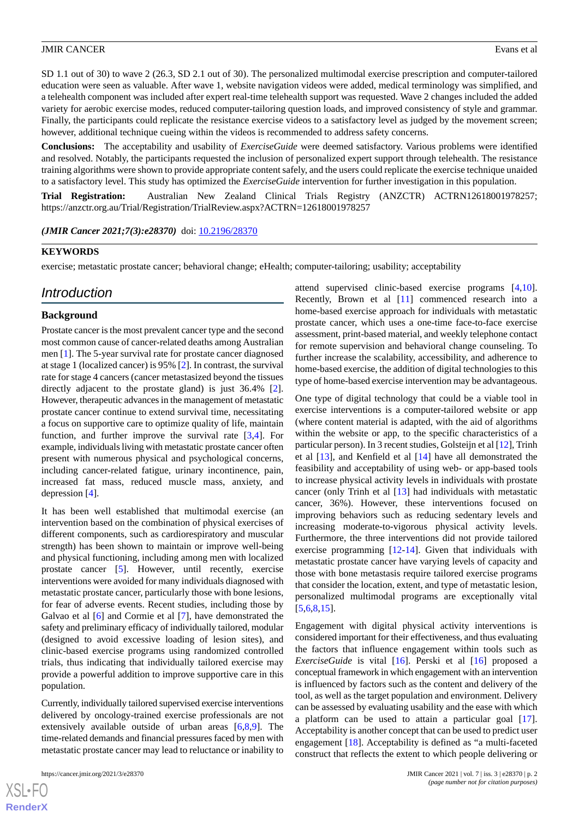SD 1.1 out of 30) to wave 2 (26.3, SD 2.1 out of 30). The personalized multimodal exercise prescription and computer-tailored education were seen as valuable. After wave 1, website navigation videos were added, medical terminology was simplified, and a telehealth component was included after expert real-time telehealth support was requested. Wave 2 changes included the added variety for aerobic exercise modes, reduced computer-tailoring question loads, and improved consistency of style and grammar. Finally, the participants could replicate the resistance exercise videos to a satisfactory level as judged by the movement screen; however, additional technique cueing within the videos is recommended to address safety concerns.

**Conclusions:** The acceptability and usability of *ExerciseGuide* were deemed satisfactory. Various problems were identified and resolved. Notably, the participants requested the inclusion of personalized expert support through telehealth. The resistance training algorithms were shown to provide appropriate content safely, and the users could replicate the exercise technique unaided to a satisfactory level. This study has optimized the *ExerciseGuide* intervention for further investigation in this population.

**Trial Registration:** Australian New Zealand Clinical Trials Registry (ANZCTR) ACTRN12618001978257; https://anzctr.org.au/Trial/Registration/TrialReview.aspx?ACTRN=12618001978257

*(JMIR Cancer 2021;7(3):e28370)* doi: [10.2196/28370](http://dx.doi.org/10.2196/28370)

#### **KEYWORDS**

exercise; metastatic prostate cancer; behavioral change; eHealth; computer-tailoring; usability; acceptability

### *Introduction*

#### **Background**

Prostate cancer is the most prevalent cancer type and the second most common cause of cancer-related deaths among Australian men [\[1](#page-15-0)]. The 5-year survival rate for prostate cancer diagnosed at stage 1 (localized cancer) is 95% [\[2](#page-15-1)]. In contrast, the survival rate for stage 4 cancers (cancer metastasized beyond the tissues directly adjacent to the prostate gland) is just 36.4% [[2\]](#page-15-1). However, therapeutic advances in the management of metastatic prostate cancer continue to extend survival time, necessitating a focus on supportive care to optimize quality of life, maintain function, and further improve the survival rate  $[3,4]$  $[3,4]$  $[3,4]$  $[3,4]$ . For example, individuals living with metastatic prostate cancer often present with numerous physical and psychological concerns, including cancer-related fatigue, urinary incontinence, pain, increased fat mass, reduced muscle mass, anxiety, and depression [\[4](#page-15-3)].

It has been well established that multimodal exercise (an intervention based on the combination of physical exercises of different components, such as cardiorespiratory and muscular strength) has been shown to maintain or improve well-being and physical functioning, including among men with localized prostate cancer [[5\]](#page-15-4). However, until recently, exercise interventions were avoided for many individuals diagnosed with metastatic prostate cancer, particularly those with bone lesions, for fear of adverse events. Recent studies, including those by Galvao et al [[6\]](#page-15-5) and Cormie et al [\[7](#page-15-6)], have demonstrated the safety and preliminary efficacy of individually tailored, modular (designed to avoid excessive loading of lesion sites), and clinic-based exercise programs using randomized controlled trials, thus indicating that individually tailored exercise may provide a powerful addition to improve supportive care in this population.

Currently, individually tailored supervised exercise interventions delivered by oncology-trained exercise professionals are not extensively available outside of urban areas [\[6](#page-15-5),[8,](#page-15-7)[9](#page-15-8)]. The time-related demands and financial pressures faced by men with metastatic prostate cancer may lead to reluctance or inability to

 $XS$  $\cdot$ FC **[RenderX](http://www.renderx.com/)** attend supervised clinic-based exercise programs [\[4](#page-15-3),[10\]](#page-15-9). Recently, Brown et al [[11\]](#page-15-10) commenced research into a home-based exercise approach for individuals with metastatic prostate cancer, which uses a one-time face-to-face exercise assessment, print-based material, and weekly telephone contact for remote supervision and behavioral change counseling. To further increase the scalability, accessibility, and adherence to home-based exercise, the addition of digital technologies to this type of home-based exercise intervention may be advantageous.

One type of digital technology that could be a viable tool in exercise interventions is a computer-tailored website or app (where content material is adapted, with the aid of algorithms within the website or app, to the specific characteristics of a particular person). In 3 recent studies, Golsteijn et al [\[12](#page-15-11)], Trinh et al [[13\]](#page-15-12), and Kenfield et al [[14\]](#page-16-0) have all demonstrated the feasibility and acceptability of using web- or app-based tools to increase physical activity levels in individuals with prostate cancer (only Trinh et al [\[13](#page-15-12)] had individuals with metastatic cancer, 36%). However, these interventions focused on improving behaviors such as reducing sedentary levels and increasing moderate-to-vigorous physical activity levels. Furthermore, the three interventions did not provide tailored exercise programming [\[12](#page-15-11)-[14\]](#page-16-0). Given that individuals with metastatic prostate cancer have varying levels of capacity and those with bone metastasis require tailored exercise programs that consider the location, extent, and type of metastatic lesion, personalized multimodal programs are exceptionally vital [[5](#page-15-4)[,6,](#page-15-5)[8,](#page-15-7)[15\]](#page-16-1).

Engagement with digital physical activity interventions is considered important for their effectiveness, and thus evaluating the factors that influence engagement within tools such as *ExerciseGuide* is vital [\[16](#page-16-2)]. Perski et al [\[16](#page-16-2)] proposed a conceptual framework in which engagement with an intervention is influenced by factors such as the content and delivery of the tool, as well as the target population and environment. Delivery can be assessed by evaluating usability and the ease with which a platform can be used to attain a particular goal [[17\]](#page-16-3). Acceptability is another concept that can be used to predict user engagement [\[18](#page-16-4)]. Acceptability is defined as "a multi-faceted construct that reflects the extent to which people delivering or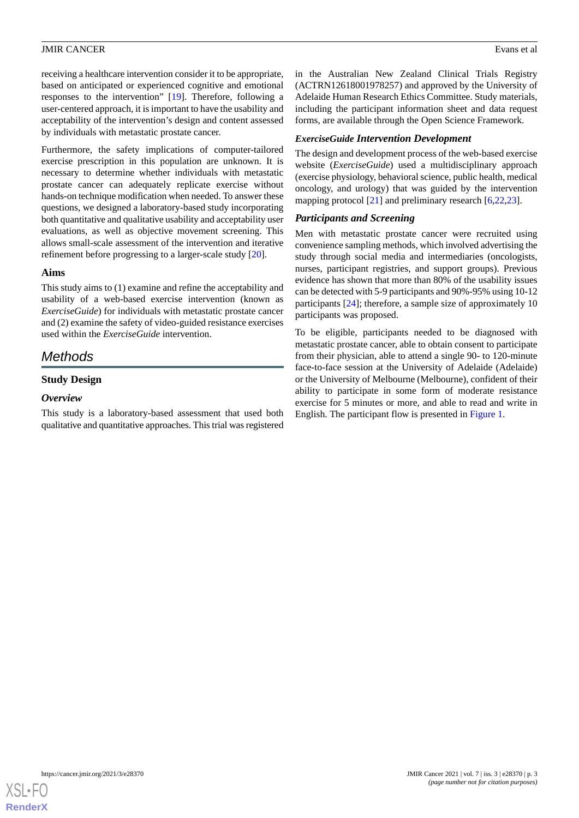receiving a healthcare intervention consider it to be appropriate, based on anticipated or experienced cognitive and emotional responses to the intervention" [\[19](#page-16-5)]. Therefore, following a user-centered approach, it is important to have the usability and acceptability of the intervention's design and content assessed by individuals with metastatic prostate cancer.

Furthermore, the safety implications of computer-tailored exercise prescription in this population are unknown. It is necessary to determine whether individuals with metastatic prostate cancer can adequately replicate exercise without hands-on technique modification when needed. To answer these questions, we designed a laboratory-based study incorporating both quantitative and qualitative usability and acceptability user evaluations, as well as objective movement screening. This allows small-scale assessment of the intervention and iterative refinement before progressing to a larger-scale study [[20\]](#page-16-6).

#### **Aims**

This study aims to (1) examine and refine the acceptability and usability of a web-based exercise intervention (known as *ExerciseGuide*) for individuals with metastatic prostate cancer and (2) examine the safety of video-guided resistance exercises used within the *ExerciseGuide* intervention.

### *Methods*

#### **Study Design**

#### *Overview*

This study is a laboratory-based assessment that used both qualitative and quantitative approaches. This trial was registered in the Australian New Zealand Clinical Trials Registry (ACTRN12618001978257) and approved by the University of Adelaide Human Research Ethics Committee. Study materials, including the participant information sheet and data request forms, are available through the Open Science Framework.

#### *ExerciseGuide Intervention Development*

The design and development process of the web-based exercise website (*ExerciseGuide*) used a multidisciplinary approach (exercise physiology, behavioral science, public health, medical oncology, and urology) that was guided by the intervention mapping protocol [\[21](#page-16-7)] and preliminary research [\[6](#page-15-5),[22](#page-16-8)[,23](#page-16-9)].

#### *Participants and Screening*

Men with metastatic prostate cancer were recruited using convenience sampling methods, which involved advertising the study through social media and intermediaries (oncologists, nurses, participant registries, and support groups). Previous evidence has shown that more than 80% of the usability issues can be detected with 5-9 participants and 90%-95% using 10-12 participants [\[24](#page-16-10)]; therefore, a sample size of approximately 10 participants was proposed.

To be eligible, participants needed to be diagnosed with metastatic prostate cancer, able to obtain consent to participate from their physician, able to attend a single 90- to 120-minute face-to-face session at the University of Adelaide (Adelaide) or the University of Melbourne (Melbourne), confident of their ability to participate in some form of moderate resistance exercise for 5 minutes or more, and able to read and write in English. The participant flow is presented in [Figure 1.](#page-5-0)

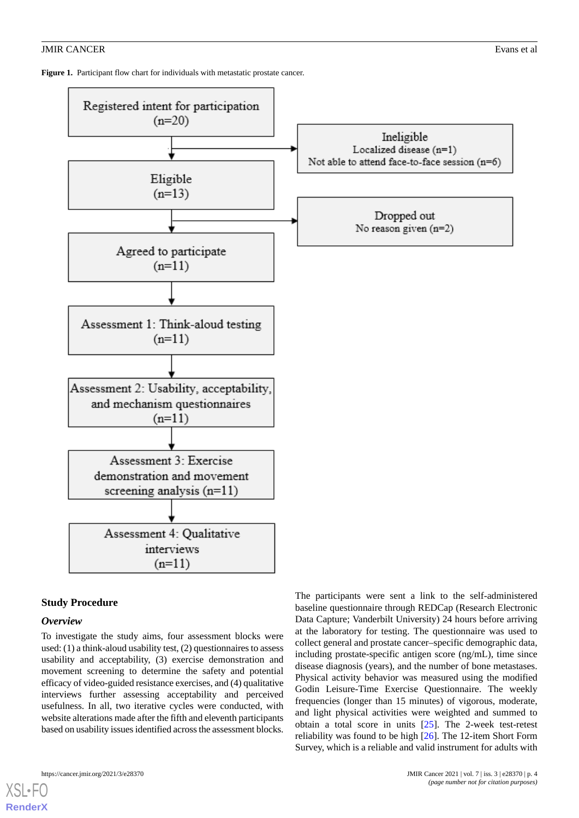<span id="page-5-0"></span>Figure 1. Participant flow chart for individuals with metastatic prostate cancer.



#### **Study Procedure**

#### *Overview*

[XSL](http://www.w3.org/Style/XSL)•FO **[RenderX](http://www.renderx.com/)**

To investigate the study aims, four assessment blocks were used: (1) a think-aloud usability test, (2) questionnaires to assess usability and acceptability, (3) exercise demonstration and movement screening to determine the safety and potential efficacy of video-guided resistance exercises, and (4) qualitative interviews further assessing acceptability and perceived usefulness. In all, two iterative cycles were conducted, with website alterations made after the fifth and eleventh participants based on usability issues identified across the assessment blocks. The participants were sent a link to the self-administered baseline questionnaire through REDCap (Research Electronic Data Capture; Vanderbilt University) 24 hours before arriving at the laboratory for testing. The questionnaire was used to collect general and prostate cancer–specific demographic data, including prostate-specific antigen score (ng/mL), time since disease diagnosis (years), and the number of bone metastases. Physical activity behavior was measured using the modified Godin Leisure-Time Exercise Questionnaire. The weekly frequencies (longer than 15 minutes) of vigorous, moderate, and light physical activities were weighted and summed to obtain a total score in units [\[25](#page-16-11)]. The 2-week test-retest reliability was found to be high [\[26](#page-16-12)]. The 12-item Short Form Survey, which is a reliable and valid instrument for adults with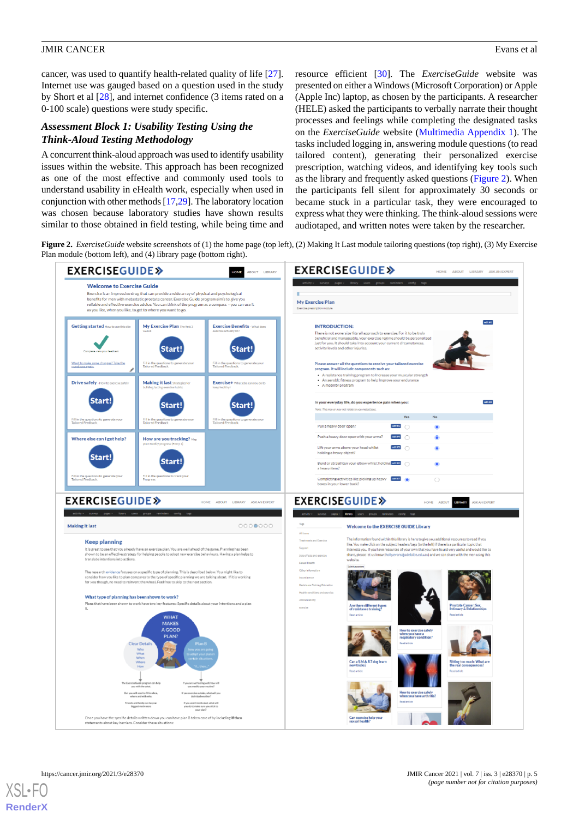cancer, was used to quantify health-related quality of life [[27\]](#page-16-13). Internet use was gauged based on a question used in the study by Short et al [\[28](#page-16-14)], and internet confidence (3 items rated on a 0-100 scale) questions were study specific.

#### *Assessment Block 1: Usability Testing Using the Think-Aloud Testing Methodology*

A concurrent think-aloud approach was used to identify usability issues within the website. This approach has been recognized as one of the most effective and commonly used tools to understand usability in eHealth work, especially when used in conjunction with other methods [[17,](#page-16-3)[29\]](#page-16-15). The laboratory location was chosen because laboratory studies have shown results similar to those obtained in field testing, while being time and

resource efficient [\[30](#page-16-16)]. The *ExerciseGuide* website was presented on either a Windows (Microsoft Corporation) or Apple (Apple Inc) laptop, as chosen by the participants. A researcher (HELE) asked the participants to verbally narrate their thought processes and feelings while completing the designated tasks on the *ExerciseGuide* website ([Multimedia Appendix 1](#page-14-0)). The tasks included logging in, answering module questions (to read tailored content), generating their personalized exercise prescription, watching videos, and identifying key tools such as the library and frequently asked questions [\(Figure 2\)](#page-6-0). When the participants fell silent for approximately 30 seconds or became stuck in a particular task, they were encouraged to express what they were thinking. The think-aloud sessions were audiotaped, and written notes were taken by the researcher.

<span id="page-6-0"></span>**Figure 2.** *ExerciseGuide* website screenshots of (1) the home page (top left), (2) Making It Last module tailoring questions (top right), (3) My Exercise Plan module (bottom left), and (4) library page (bottom right).

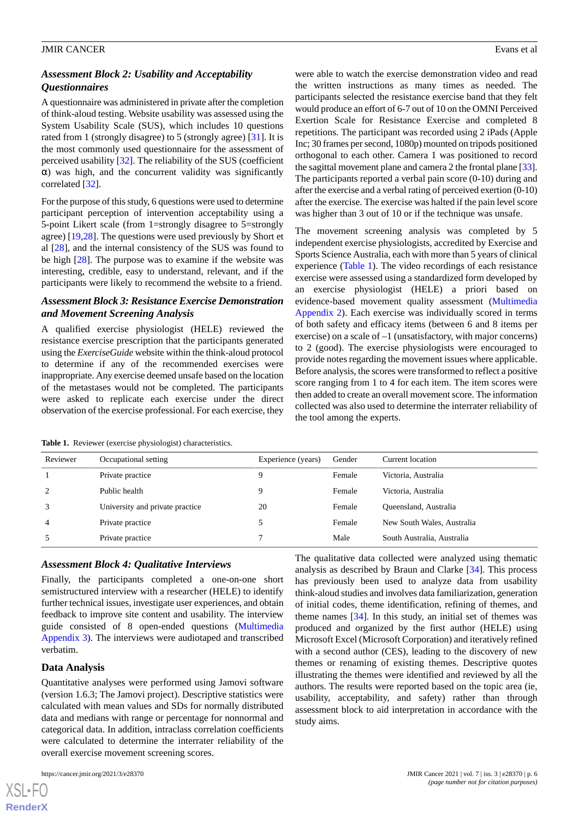#### *Assessment Block 2: Usability and Acceptability Questionnaires*

A questionnaire was administered in private after the completion of think-aloud testing. Website usability was assessed using the System Usability Scale (SUS), which includes 10 questions rated from 1 (strongly disagree) to 5 (strongly agree) [\[31](#page-16-17)]. It is the most commonly used questionnaire for the assessment of perceived usability [\[32](#page-16-18)]. The reliability of the SUS (coefficient  $\alpha$ ) was high, and the concurrent validity was significantly correlated [\[32](#page-16-18)].

For the purpose of this study, 6 questions were used to determine participant perception of intervention acceptability using a 5-point Likert scale (from 1=strongly disagree to 5=strongly agree) [\[19](#page-16-5),[28\]](#page-16-14). The questions were used previously by Short et al [\[28](#page-16-14)], and the internal consistency of the SUS was found to be high [\[28](#page-16-14)]. The purpose was to examine if the website was interesting, credible, easy to understand, relevant, and if the participants were likely to recommend the website to a friend.

#### *Assessment Block 3: Resistance Exercise Demonstration and Movement Screening Analysis*

A qualified exercise physiologist (HELE) reviewed the resistance exercise prescription that the participants generated using the *ExerciseGuide* website within the think-aloud protocol to determine if any of the recommended exercises were inappropriate. Any exercise deemed unsafe based on the location of the metastases would not be completed. The participants were asked to replicate each exercise under the direct observation of the exercise professional. For each exercise, they

were able to watch the exercise demonstration video and read the written instructions as many times as needed. The participants selected the resistance exercise band that they felt would produce an effort of 6-7 out of 10 on the OMNI Perceived Exertion Scale for Resistance Exercise and completed 8 repetitions. The participant was recorded using 2 iPads (Apple Inc; 30 frames per second, 1080p) mounted on tripods positioned orthogonal to each other. Camera 1 was positioned to record the sagittal movement plane and camera 2 the frontal plane [\[33](#page-16-19)]. The participants reported a verbal pain score (0-10) during and after the exercise and a verbal rating of perceived exertion (0-10) after the exercise. The exercise was halted if the pain level score was higher than 3 out of 10 or if the technique was unsafe.

The movement screening analysis was completed by 5 independent exercise physiologists, accredited by Exercise and Sports Science Australia, each with more than 5 years of clinical experience [\(Table 1](#page-7-0)). The video recordings of each resistance exercise were assessed using a standardized form developed by an exercise physiologist (HELE) a priori based on evidence-based movement quality assessment [\(Multimedia](#page-14-1) [Appendix 2](#page-14-1)). Each exercise was individually scored in terms of both safety and efficacy items (between 6 and 8 items per exercise) on a scale of –1 (unsatisfactory, with major concerns) to 2 (good). The exercise physiologists were encouraged to provide notes regarding the movement issues where applicable. Before analysis, the scores were transformed to reflect a positive score ranging from 1 to 4 for each item. The item scores were then added to create an overall movement score. The information collected was also used to determine the interrater reliability of the tool among the experts.

<span id="page-7-0"></span>**Table 1.** Reviewer (exercise physiologist) characteristics.

| Reviewer       | Occupational setting            | Experience (years) | Gender | Current location           |
|----------------|---------------------------------|--------------------|--------|----------------------------|
|                | Private practice                |                    | Female | Victoria, Australia        |
| 2              | Public health                   | Q                  | Female | Victoria, Australia        |
| 3              | University and private practice | 20                 | Female | Queensland, Australia      |
| $\overline{4}$ | Private practice                |                    | Female | New South Wales, Australia |
| 5              | Private practice                |                    | Male   | South Australia, Australia |

#### *Assessment Block 4: Qualitative Interviews*

Finally, the participants completed a one-on-one short semistructured interview with a researcher (HELE) to identify further technical issues, investigate user experiences, and obtain feedback to improve site content and usability. The interview guide consisted of 8 open-ended questions ([Multimedia](#page-15-13) [Appendix 3\)](#page-15-13). The interviews were audiotaped and transcribed verbatim.

#### **Data Analysis**

 $XS$  • FO **[RenderX](http://www.renderx.com/)**

Quantitative analyses were performed using Jamovi software (version 1.6.3; The Jamovi project). Descriptive statistics were calculated with mean values and SDs for normally distributed data and medians with range or percentage for nonnormal and categorical data. In addition, intraclass correlation coefficients were calculated to determine the interrater reliability of the overall exercise movement screening scores.

The qualitative data collected were analyzed using thematic analysis as described by Braun and Clarke [[34\]](#page-16-20). This process has previously been used to analyze data from usability think-aloud studies and involves data familiarization, generation of initial codes, theme identification, refining of themes, and theme names [[34\]](#page-16-20). In this study, an initial set of themes was produced and organized by the first author (HELE) using Microsoft Excel (Microsoft Corporation) and iteratively refined with a second author (CES), leading to the discovery of new themes or renaming of existing themes. Descriptive quotes illustrating the themes were identified and reviewed by all the authors. The results were reported based on the topic area (ie, usability, acceptability, and safety) rather than through assessment block to aid interpretation in accordance with the study aims.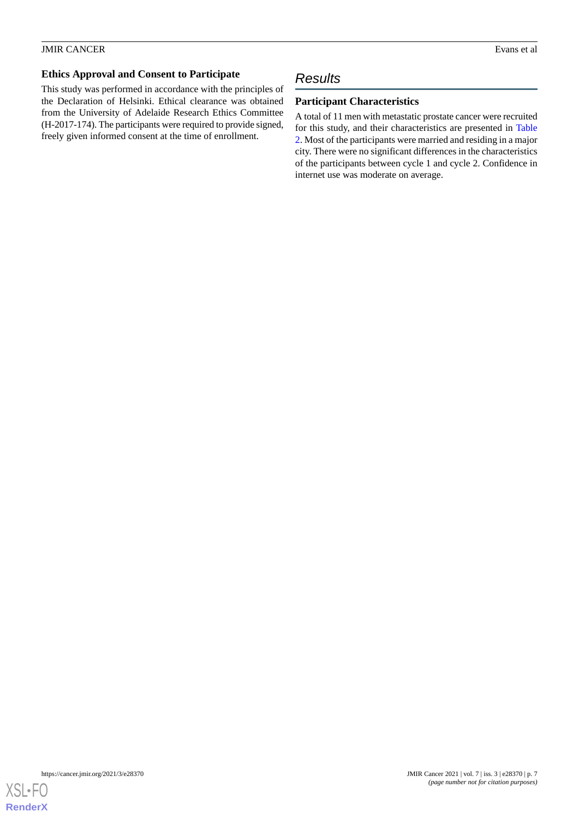### **Ethics Approval and Consent to Participate**

This study was performed in accordance with the principles of the Declaration of Helsinki. Ethical clearance was obtained from the University of Adelaide Research Ethics Committee (H-2017-174). The participants were required to provide signed, freely given informed consent at the time of enrollment.

### *Results*

#### **Participant Characteristics**

A total of 11 men with metastatic prostate cancer were recruited for this study, and their characteristics are presented in [Table](#page-9-0) [2.](#page-9-0) Most of the participants were married and residing in a major city. There were no significant differences in the characteristics of the participants between cycle 1 and cycle 2. Confidence in internet use was moderate on average.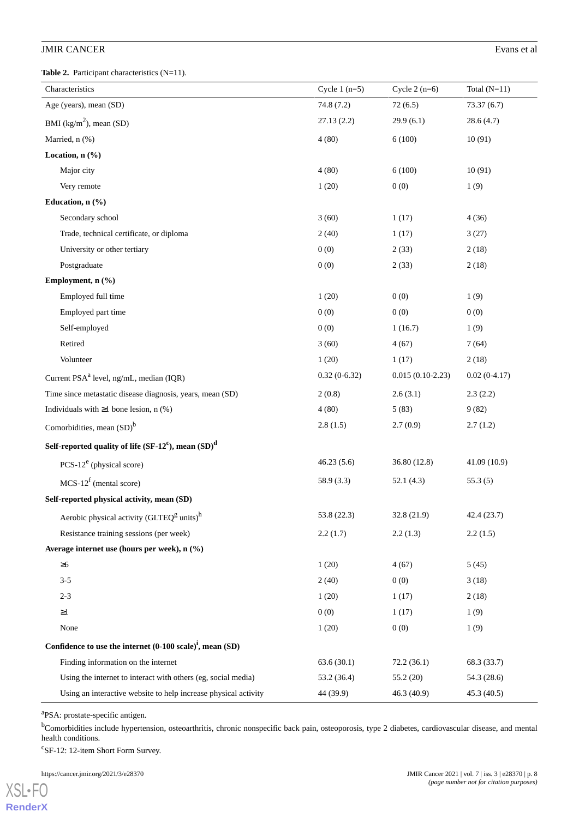### **JMIR CANCER** Evans et al.

<span id="page-9-0"></span>Table 2. Participant characteristics (N=11).

| Characteristics                                                        | Cycle $1(n=5)$ | Cycle $2(n=6)$     | Total $(N=11)$ |
|------------------------------------------------------------------------|----------------|--------------------|----------------|
| Age (years), mean (SD)                                                 | 74.8(7.2)      | 72(6.5)            | 73.37(6.7)     |
| BMI $(kg/m^2)$ , mean (SD)                                             | 27.13(2.2)     | 29.9(6.1)          | 28.6(4.7)      |
| Married, n (%)                                                         | 4(80)          | 6(100)             | 10(91)         |
| Location, $n$ $(\%)$                                                   |                |                    |                |
| Major city                                                             | 4(80)          | 6(100)             | 10(91)         |
| Very remote                                                            | 1(20)          | 0(0)               | 1(9)           |
| Education, n (%)                                                       |                |                    |                |
| Secondary school                                                       | 3(60)          | 1(17)              | 4(36)          |
| Trade, technical certificate, or diploma                               | 2(40)          | 1(17)              | 3(27)          |
| University or other tertiary                                           | 0(0)           | 2(33)              | 2(18)          |
| Postgraduate                                                           | 0(0)           | 2(33)              | 2(18)          |
| Employment, n (%)                                                      |                |                    |                |
| Employed full time                                                     | 1(20)          | 0(0)               | 1(9)           |
| Employed part time                                                     | 0(0)           | 0(0)               | 0(0)           |
| Self-employed                                                          | 0(0)           | 1(16.7)            | 1(9)           |
| Retired                                                                | 3(60)          | 4(67)              | 7(64)          |
| Volunteer                                                              | 1(20)          | 1(17)              | 2(18)          |
| Current PSA <sup>a</sup> level, ng/mL, median (IQR)                    | $0.32(0-6.32)$ | $0.015(0.10-2.23)$ | $0.02(0-4.17)$ |
| Time since metastatic disease diagnosis, years, mean (SD)              | 2(0.8)         | 2.6(3.1)           | 2.3(2.2)       |
| Individuals with $\geq 1$ bone lesion, n (%)                           | 4(80)          | 5(83)              | 9(82)          |
| Comorbidities, mean $(SD)^b$                                           | 2.8(1.5)       | 2.7(0.9)           | 2.7(1.2)       |
| Self-reported quality of life $(SF-12^c)$ , mean $(SD)^d$              |                |                    |                |
| PCS- $12^e$ (physical score)                                           | 46.23(5.6)     | 36.80 (12.8)       | 41.09 (10.9)   |
| $MCS-12^f$ (mental score)                                              | 58.9 (3.3)     | 52.1(4.3)          | 55.3(5)        |
| Self-reported physical activity, mean (SD)                             |                |                    |                |
| Aerobic physical activity (GLTEQ <sup>g</sup> units) <sup>h</sup>      | 53.8 (22.3)    | 32.8 (21.9)        | 42.4 (23.7)    |
| Resistance training sessions (per week)                                | 2.2(1.7)       | 2.2(1.3)           | 2.2(1.5)       |
| Average internet use (hours per week), n (%)                           |                |                    |                |
| $\geq 6$                                                               | 1(20)          | 4(67)              | 5(45)          |
| $3 - 5$                                                                | 2(40)          | 0(0)               | 3(18)          |
| $2 - 3$                                                                | 1(20)          | 1(17)              | 2(18)          |
| $\geq$ 1                                                               | 0(0)           | 1(17)              | 1(9)           |
| None                                                                   | 1(20)          | 0(0)               | 1(9)           |
| Confidence to use the internet $(0-100 \text{ scale})^i$ , mean $(SD)$ |                |                    |                |
| Finding information on the internet                                    | 63.6(30.1)     | 72.2(36.1)         | 68.3 (33.7)    |
| Using the internet to interact with others (eg, social media)          | 53.2 (36.4)    | 55.2 (20)          | 54.3 (28.6)    |
| Using an interactive website to help increase physical activity        | 44 (39.9)      | 46.3(40.9)         | 45.3(40.5)     |

<sup>a</sup>PSA: prostate-specific antigen.

<sup>b</sup>Comorbidities include hypertension, osteoarthritis, chronic nonspecific back pain, osteoporosis, type 2 diabetes, cardiovascular disease, and mental health conditions.

c SF-12: 12-item Short Form Survey.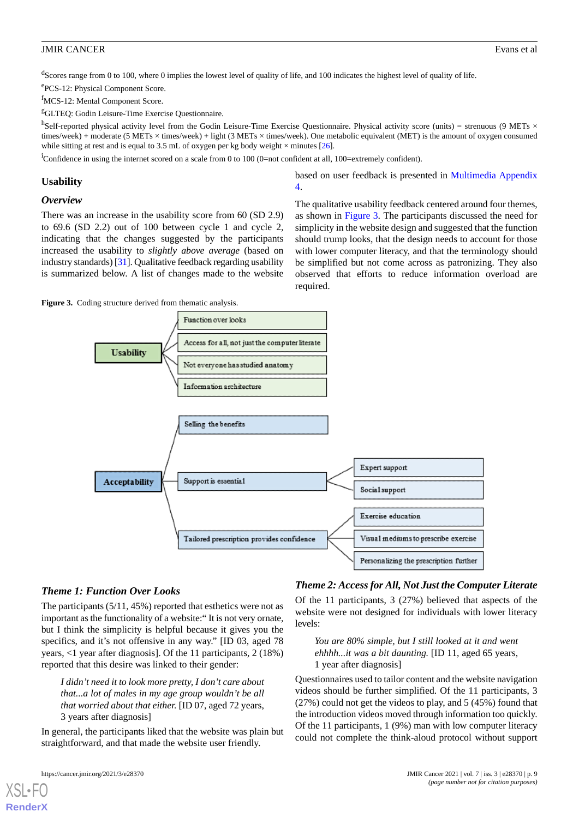<sup>d</sup>Scores range from 0 to 100, where 0 implies the lowest level of quality of life, and 100 indicates the highest level of quality of life.

e<br>PCS-12: Physical Component Score.

<sup>f</sup>MCS-12: Mental Component Score.

<sup>g</sup>GLTEQ: Godin Leisure-Time Exercise Questionnaire.

h<br>Self-reported physical activity level from the Godin Leisure-Time Exercise Questionnaire. Physical activity score (units) = strenuous (9 METs × times/week) + moderate (5 METs × times/week) + light (3 METs × times/week). One metabolic equivalent (MET) is the amount of oxygen consumed while sitting at rest and is equal to 3.5 mL of oxygen per kg body weight  $\times$  minutes [[26](#page-16-12)].

<sup>i</sup>Confidence in using the internet scored on a scale from 0 to 100 (0=not confident at all, 100=extremely confident).

#### **Usability**

#### *Overview*

There was an increase in the usability score from 60 (SD 2.9) to 69.6 (SD 2.2) out of 100 between cycle 1 and cycle 2, indicating that the changes suggested by the participants increased the usability to *slightly above average* (based on industry standards) [\[31\]](#page-16-17). Qualitative feedback regarding usability is summarized below. A list of changes made to the website

based on user feedback is presented in [Multimedia Appendix](#page-15-14) [4.](#page-15-14)

The qualitative usability feedback centered around four themes, as shown in [Figure 3.](#page-10-0) The participants discussed the need for simplicity in the website design and suggested that the function should trump looks, that the design needs to account for those with lower computer literacy, and that the terminology should be simplified but not come across as patronizing. They also observed that efforts to reduce information overload are required.

<span id="page-10-0"></span>Figure 3. Coding structure derived from thematic analysis.



#### *Theme 1: Function Over Looks*

The participants (5/11, 45%) reported that esthetics were not as important as the functionality of a website:" It is not very ornate, but I think the simplicity is helpful because it gives you the specifics, and it's not offensive in any way." [ID 03, aged 78 years, <1 year after diagnosis]. Of the 11 participants, 2 (18%) reported that this desire was linked to their gender:

*I didn't need it to look more pretty, I don't care about that...a lot of males in my age group wouldn't be all that worried about that either.* [ID 07, aged 72 years, 3 years after diagnosis]

In general, the participants liked that the website was plain but straightforward, and that made the website user friendly.

[XSL](http://www.w3.org/Style/XSL)•FO **[RenderX](http://www.renderx.com/)**

#### *Theme 2: Access for All, Not Just the Computer Literate*

Of the 11 participants, 3 (27%) believed that aspects of the website were not designed for individuals with lower literacy levels:

*You are 80% simple, but I still looked at it and went ehhhh...it was a bit daunting.* [ID 11, aged 65 years, 1 year after diagnosis]

Questionnaires used to tailor content and the website navigation videos should be further simplified. Of the 11 participants, 3 (27%) could not get the videos to play, and 5 (45%) found that the introduction videos moved through information too quickly. Of the 11 participants, 1 (9%) man with low computer literacy could not complete the think-aloud protocol without support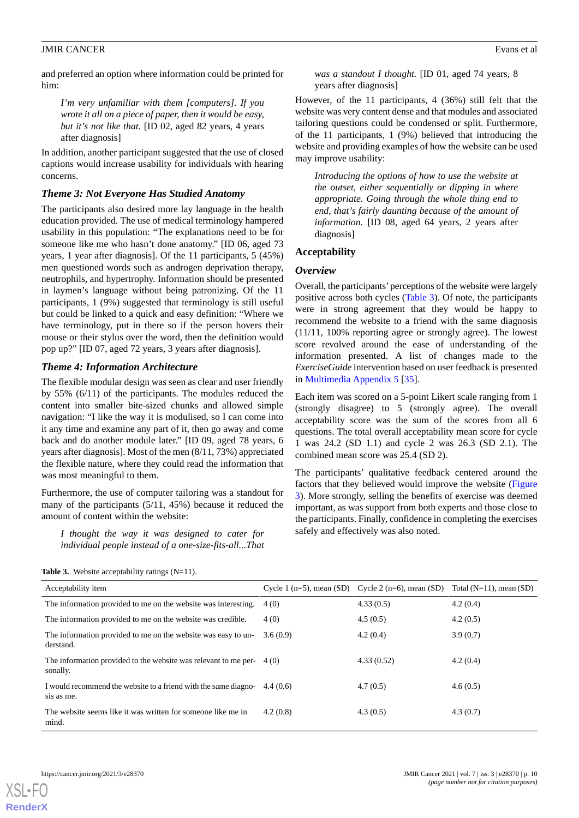and preferred an option where information could be printed for him:

*I'm very unfamiliar with them [computers]. If you wrote it all on a piece of paper, then it would be easy, but it's not like that.* [ID 02, aged 82 years, 4 years after diagnosis]

In addition, another participant suggested that the use of closed captions would increase usability for individuals with hearing concerns.

#### *Theme 3: Not Everyone Has Studied Anatomy*

The participants also desired more lay language in the health education provided. The use of medical terminology hampered usability in this population: "The explanations need to be for someone like me who hasn't done anatomy." [ID 06, aged 73 years, 1 year after diagnosis]. Of the 11 participants, 5 (45%) men questioned words such as androgen deprivation therapy, neutrophils, and hypertrophy. Information should be presented in laymen's language without being patronizing. Of the 11 participants, 1 (9%) suggested that terminology is still useful but could be linked to a quick and easy definition: "Where we have terminology, put in there so if the person hovers their mouse or their stylus over the word, then the definition would pop up?" [ID 07, aged 72 years, 3 years after diagnosis].

#### *Theme 4: Information Architecture*

The flexible modular design was seen as clear and user friendly by 55% (6/11) of the participants. The modules reduced the content into smaller bite-sized chunks and allowed simple navigation: "I like the way it is modulised, so I can come into it any time and examine any part of it, then go away and come back and do another module later." [ID 09, aged 78 years, 6 years after diagnosis]. Most of the men (8/11, 73%) appreciated the flexible nature, where they could read the information that was most meaningful to them.

<span id="page-11-0"></span>Furthermore, the use of computer tailoring was a standout for many of the participants (5/11, 45%) because it reduced the amount of content within the website:

*I thought the way it was designed to cater for individual people instead of a one-size-fits-all...That*

| was a standout I thought. [ID 01, aged 74 years, 8 |  |  |
|----------------------------------------------------|--|--|
| years after diagnosis                              |  |  |

However, of the 11 participants, 4 (36%) still felt that the website was very content dense and that modules and associated tailoring questions could be condensed or split. Furthermore, of the 11 participants, 1 (9%) believed that introducing the website and providing examples of how the website can be used may improve usability:

*Introducing the options of how to use the website at the outset, either sequentially or dipping in where appropriate. Going through the whole thing end to end, that's fairly daunting because of the amount of information.* [ID 08, aged 64 years, 2 years after diagnosis]

#### **Acceptability**

#### *Overview*

Overall, the participants'perceptions of the website were largely positive across both cycles ([Table 3\)](#page-11-0). Of note, the participants were in strong agreement that they would be happy to recommend the website to a friend with the same diagnosis (11/11, 100% reporting agree or strongly agree). The lowest score revolved around the ease of understanding of the information presented. A list of changes made to the *ExerciseGuide* intervention based on user feedback is presented in [Multimedia Appendix 5](#page-15-15) [[35\]](#page-16-21).

Each item was scored on a 5-point Likert scale ranging from 1 (strongly disagree) to 5 (strongly agree). The overall acceptability score was the sum of the scores from all 6 questions. The total overall acceptability mean score for cycle 1 was 24.2 (SD 1.1) and cycle 2 was 26.3 (SD 2.1). The combined mean score was 25.4 (SD 2).

The participants' qualitative feedback centered around the factors that they believed would improve the website ([Figure](#page-10-0) [3\)](#page-10-0). More strongly, selling the benefits of exercise was deemed important, as was support from both experts and those close to the participants. Finally, confidence in completing the exercises safely and effectively was also noted.

| Acceptability item                                                                   |          | Cycle 1 $(n=5)$ , mean (SD) Cycle 2 $(n=6)$ , mean (SD) | Total $(N=11)$ , mean $(SD)$ |
|--------------------------------------------------------------------------------------|----------|---------------------------------------------------------|------------------------------|
| The information provided to me on the website was interesting.                       | 4(0)     | 4.33(0.5)                                               | 4.2(0.4)                     |
| The information provided to me on the website was credible.                          | 4(0)     | 4.5(0.5)                                                | 4.2(0.5)                     |
| The information provided to me on the website was easy to un-<br>derstand.           | 3.6(0.9) | 4.2(0.4)                                                | 3.9(0.7)                     |
| The information provided to the website was relevant to me per- $(4)(0)$<br>sonally. |          | 4.33(0.52)                                              | 4.2(0.4)                     |
| I would recommend the website to a friend with the same diagno-<br>sis as me.        | 4.4(0.6) | 4.7(0.5)                                                | 4.6(0.5)                     |
| The website seems like it was written for someone like me in<br>mind.                | 4.2(0.8) | 4.3(0.5)                                                | 4.3(0.7)                     |

Table 3. Website acceptability ratings (N=11).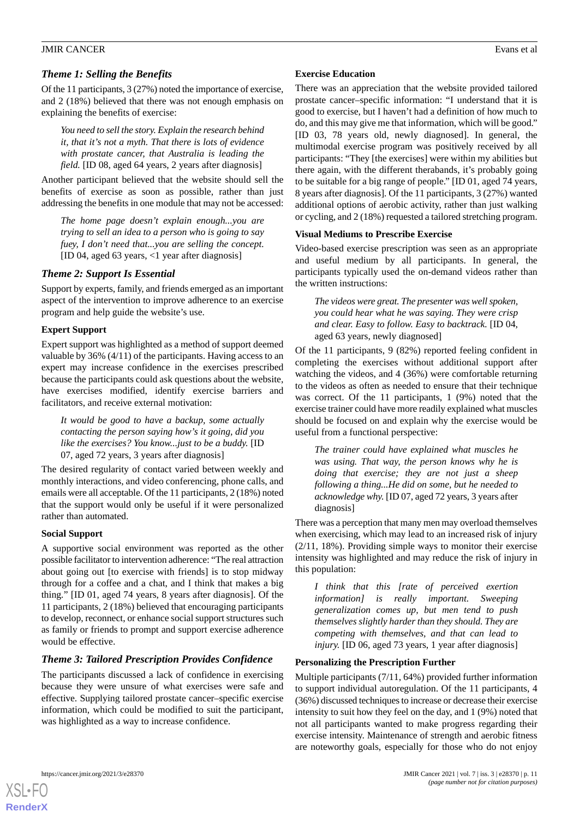#### *Theme 1: Selling the Benefits*

Of the 11 participants, 3 (27%) noted the importance of exercise, and 2 (18%) believed that there was not enough emphasis on explaining the benefits of exercise:

*You need to sell the story. Explain the research behind it, that it's not a myth. That there is lots of evidence with prostate cancer, that Australia is leading the field.* [ID 08, aged 64 years, 2 years after diagnosis]

Another participant believed that the website should sell the benefits of exercise as soon as possible, rather than just addressing the benefits in one module that may not be accessed:

*The home page doesn't explain enough...you are trying to sell an idea to a person who is going to say fuey, I don't need that...you are selling the concept.* [ID 04, aged 63 years, <1 year after diagnosis]

#### *Theme 2: Support Is Essential*

Support by experts, family, and friends emerged as an important aspect of the intervention to improve adherence to an exercise program and help guide the website's use.

#### **Expert Support**

Expert support was highlighted as a method of support deemed valuable by 36% (4/11) of the participants. Having access to an expert may increase confidence in the exercises prescribed because the participants could ask questions about the website, have exercises modified, identify exercise barriers and facilitators, and receive external motivation:

*It would be good to have a backup, some actually contacting the person saying how's it going, did you like the exercises? You know...just to be a buddy.* [ID 07, aged 72 years, 3 years after diagnosis]

The desired regularity of contact varied between weekly and monthly interactions, and video conferencing, phone calls, and emails were all acceptable. Of the 11 participants, 2 (18%) noted that the support would only be useful if it were personalized rather than automated.

#### **Social Support**

A supportive social environment was reported as the other possible facilitator to intervention adherence: "The real attraction about going out [to exercise with friends] is to stop midway through for a coffee and a chat, and I think that makes a big thing*.*" [ID 01, aged 74 years, 8 years after diagnosis]. Of the 11 participants, 2 (18%) believed that encouraging participants to develop, reconnect, or enhance social support structures such as family or friends to prompt and support exercise adherence would be effective.

#### *Theme 3: Tailored Prescription Provides Confidence*

The participants discussed a lack of confidence in exercising because they were unsure of what exercises were safe and effective. Supplying tailored prostate cancer–specific exercise information, which could be modified to suit the participant, was highlighted as a way to increase confidence.

#### **Exercise Education**

There was an appreciation that the website provided tailored prostate cancer–specific information: "I understand that it is good to exercise, but I haven't had a definition of how much to do, and this may give me that information, which will be good." [ID 03, 78 years old, newly diagnosed]. In general, the multimodal exercise program was positively received by all participants: "They [the exercises] were within my abilities but there again, with the different therabands, it's probably going to be suitable for a big range of people." [ID 01, aged 74 years, 8 years after diagnosis]*.* Of the 11 participants, 3 (27%) wanted additional options of aerobic activity, rather than just walking or cycling, and 2 (18%) requested a tailored stretching program.

#### **Visual Mediums to Prescribe Exercise**

Video-based exercise prescription was seen as an appropriate and useful medium by all participants. In general, the participants typically used the on-demand videos rather than the written instructions:

*The videos were great. The presenter was well spoken, you could hear what he was saying. They were crisp and clear. Easy to follow. Easy to backtrack.* [ID 04, aged 63 years, newly diagnosed]

Of the 11 participants, 9 (82%) reported feeling confident in completing the exercises without additional support after watching the videos, and 4 (36%) were comfortable returning to the videos as often as needed to ensure that their technique was correct. Of the 11 participants, 1 (9%) noted that the exercise trainer could have more readily explained what muscles should be focused on and explain why the exercise would be useful from a functional perspective:

*The trainer could have explained what muscles he was using. That way, the person knows why he is doing that exercise; they are not just a sheep following a thing...He did on some, but he needed to acknowledge why.* [ID 07, aged 72 years, 3 years after diagnosis]

There was a perception that many men may overload themselves when exercising, which may lead to an increased risk of injury (2/11, 18%). Providing simple ways to monitor their exercise intensity was highlighted and may reduce the risk of injury in this population:

*I think that this [rate of perceived exertion information] is really important. Sweeping generalization comes up, but men tend to push themselves slightly harder than they should. They are competing with themselves, and that can lead to injury.* [ID 06, aged 73 years, 1 year after diagnosis]

#### **Personalizing the Prescription Further**

Multiple participants (7/11, 64%) provided further information to support individual autoregulation. Of the 11 participants, 4 (36%) discussed techniques to increase or decrease their exercise intensity to suit how they feel on the day, and 1 (9%) noted that not all participants wanted to make progress regarding their exercise intensity. Maintenance of strength and aerobic fitness are noteworthy goals, especially for those who do not enjoy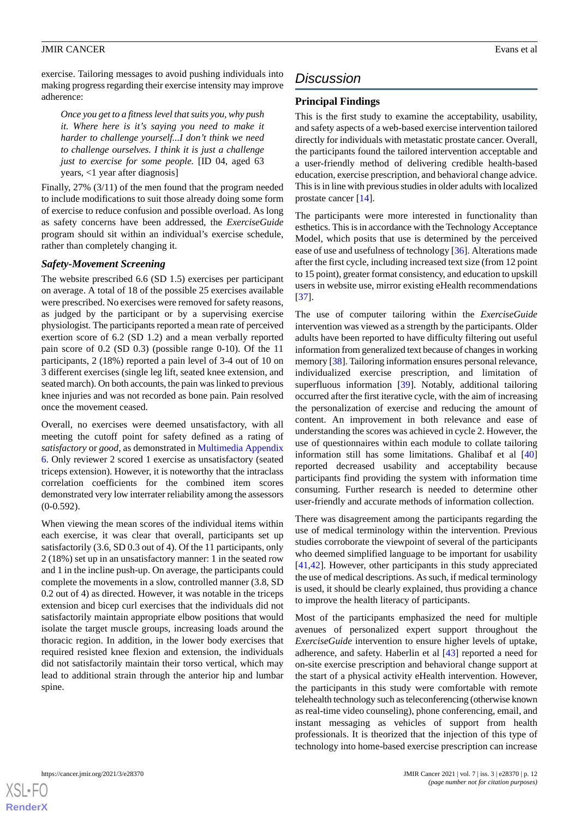exercise. Tailoring messages to avoid pushing individuals into making progress regarding their exercise intensity may improve adherence:

*Once you get to a fitness level that suits you, why push it. Where here is it's saying you need to make it harder to challenge yourself...I don't think we need to challenge ourselves. I think it is just a challenge just to exercise for some people.* [ID 04, aged 63 years, <1 year after diagnosis]

Finally, 27% (3/11) of the men found that the program needed to include modifications to suit those already doing some form of exercise to reduce confusion and possible overload. As long as safety concerns have been addressed, the *ExerciseGuide* program should sit within an individual's exercise schedule, rather than completely changing it.

#### *Safety-Movement Screening*

The website prescribed 6.6 (SD 1.5) exercises per participant on average. A total of 18 of the possible 25 exercises available were prescribed. No exercises were removed for safety reasons, as judged by the participant or by a supervising exercise physiologist. The participants reported a mean rate of perceived exertion score of 6.2 (SD 1.2) and a mean verbally reported pain score of 0.2 (SD 0.3) (possible range 0-10). Of the 11 participants, 2 (18%) reported a pain level of 3-4 out of 10 on 3 different exercises (single leg lift, seated knee extension, and seated march). On both accounts, the pain was linked to previous knee injuries and was not recorded as bone pain. Pain resolved once the movement ceased.

Overall, no exercises were deemed unsatisfactory, with all meeting the cutoff point for safety defined as a rating of *satisfactory* or *good,* as demonstrated in [Multimedia Appendix](#page-15-16) [6.](#page-15-16) Only reviewer 2 scored 1 exercise as unsatisfactory (seated triceps extension). However, it is noteworthy that the intraclass correlation coefficients for the combined item scores demonstrated very low interrater reliability among the assessors  $(0-0.592)$ .

When viewing the mean scores of the individual items within each exercise, it was clear that overall, participants set up satisfactorily (3.6, SD 0.3 out of 4). Of the 11 participants, only 2 (18%) set up in an unsatisfactory manner: 1 in the seated row and 1 in the incline push-up. On average, the participants could complete the movements in a slow, controlled manner (3.8, SD 0.2 out of 4) as directed. However, it was notable in the triceps extension and bicep curl exercises that the individuals did not satisfactorily maintain appropriate elbow positions that would isolate the target muscle groups, increasing loads around the thoracic region. In addition, in the lower body exercises that required resisted knee flexion and extension, the individuals did not satisfactorily maintain their torso vertical, which may lead to additional strain through the anterior hip and lumbar spine.

## *Discussion*

#### **Principal Findings**

This is the first study to examine the acceptability, usability, and safety aspects of a web-based exercise intervention tailored directly for individuals with metastatic prostate cancer. Overall, the participants found the tailored intervention acceptable and a user-friendly method of delivering credible health-based education, exercise prescription, and behavioral change advice. This is in line with previous studies in older adults with localized prostate cancer [[14\]](#page-16-0).

The participants were more interested in functionality than esthetics. This is in accordance with the Technology Acceptance Model, which posits that use is determined by the perceived ease of use and usefulness of technology [\[36](#page-16-22)]. Alterations made after the first cycle, including increased text size (from 12 point to 15 point), greater format consistency, and education to upskill users in website use, mirror existing eHealth recommendations [[37\]](#page-16-23).

The use of computer tailoring within the *ExerciseGuide* intervention was viewed as a strength by the participants. Older adults have been reported to have difficulty filtering out useful information from generalized text because of changes in working memory [[38\]](#page-17-0). Tailoring information ensures personal relevance, individualized exercise prescription, and limitation of superfluous information [\[39](#page-17-1)]. Notably, additional tailoring occurred after the first iterative cycle, with the aim of increasing the personalization of exercise and reducing the amount of content. An improvement in both relevance and ease of understanding the scores was achieved in cycle 2. However, the use of questionnaires within each module to collate tailoring information still has some limitations. Ghalibaf et al [\[40](#page-17-2)] reported decreased usability and acceptability because participants find providing the system with information time consuming. Further research is needed to determine other user-friendly and accurate methods of information collection.

There was disagreement among the participants regarding the use of medical terminology within the intervention. Previous studies corroborate the viewpoint of several of the participants who deemed simplified language to be important for usability [[41,](#page-17-3)[42\]](#page-17-4). However, other participants in this study appreciated the use of medical descriptions. As such, if medical terminology is used, it should be clearly explained, thus providing a chance to improve the health literacy of participants.

Most of the participants emphasized the need for multiple avenues of personalized expert support throughout the *ExerciseGuide* intervention to ensure higher levels of uptake, adherence, and safety. Haberlin et al [\[43](#page-17-5)] reported a need for on-site exercise prescription and behavioral change support at the start of a physical activity eHealth intervention. However, the participants in this study were comfortable with remote telehealth technology such as teleconferencing (otherwise known as real-time video counseling), phone conferencing, email, and instant messaging as vehicles of support from health professionals. It is theorized that the injection of this type of technology into home-based exercise prescription can increase

```
XSL•FO
RenderX
```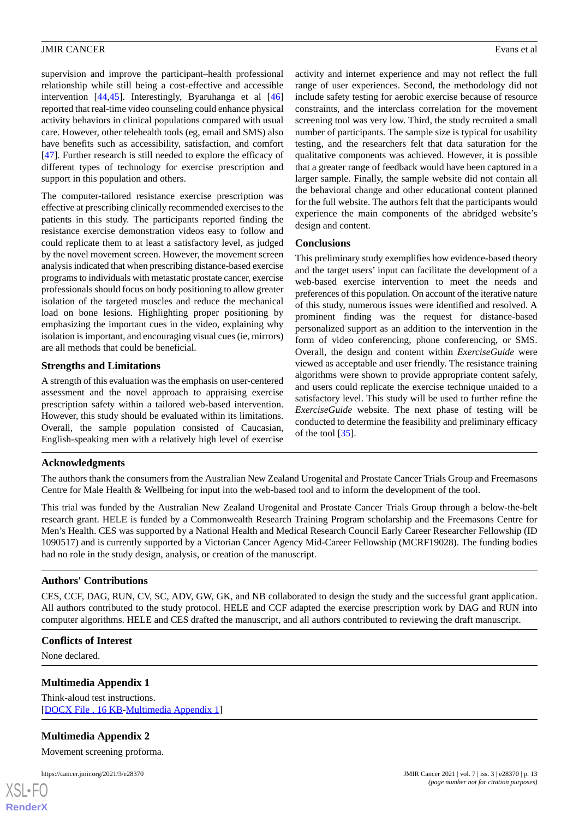supervision and improve the participant–health professional relationship while still being a cost-effective and accessible intervention [\[44](#page-17-6),[45\]](#page-17-7). Interestingly, Byaruhanga et al [\[46](#page-17-8)] reported that real-time video counseling could enhance physical activity behaviors in clinical populations compared with usual care. However, other telehealth tools (eg, email and SMS) also have benefits such as accessibility, satisfaction, and comfort [[47\]](#page-17-9). Further research is still needed to explore the efficacy of different types of technology for exercise prescription and support in this population and others.

The computer-tailored resistance exercise prescription was effective at prescribing clinically recommended exercises to the patients in this study. The participants reported finding the resistance exercise demonstration videos easy to follow and could replicate them to at least a satisfactory level, as judged by the novel movement screen. However, the movement screen analysis indicated that when prescribing distance-based exercise programs to individuals with metastatic prostate cancer, exercise professionals should focus on body positioning to allow greater isolation of the targeted muscles and reduce the mechanical load on bone lesions. Highlighting proper positioning by emphasizing the important cues in the video, explaining why isolation is important, and encouraging visual cues (ie, mirrors) are all methods that could be beneficial.

#### **Strengths and Limitations**

A strength of this evaluation was the emphasis on user-centered assessment and the novel approach to appraising exercise prescription safety within a tailored web-based intervention. However, this study should be evaluated within its limitations. Overall, the sample population consisted of Caucasian, English-speaking men with a relatively high level of exercise

activity and internet experience and may not reflect the full range of user experiences. Second, the methodology did not include safety testing for aerobic exercise because of resource constraints, and the interclass correlation for the movement screening tool was very low. Third, the study recruited a small number of participants. The sample size is typical for usability testing, and the researchers felt that data saturation for the qualitative components was achieved. However, it is possible that a greater range of feedback would have been captured in a larger sample. Finally, the sample website did not contain all the behavioral change and other educational content planned for the full website. The authors felt that the participants would experience the main components of the abridged website's design and content.

#### **Conclusions**

This preliminary study exemplifies how evidence-based theory and the target users' input can facilitate the development of a web-based exercise intervention to meet the needs and preferences of this population. On account of the iterative nature of this study, numerous issues were identified and resolved. A prominent finding was the request for distance-based personalized support as an addition to the intervention in the form of video conferencing, phone conferencing, or SMS. Overall, the design and content within *ExerciseGuide* were viewed as acceptable and user friendly. The resistance training algorithms were shown to provide appropriate content safely, and users could replicate the exercise technique unaided to a satisfactory level. This study will be used to further refine the *ExerciseGuide* website. The next phase of testing will be conducted to determine the feasibility and preliminary efficacy of the tool [[35\]](#page-16-21).

#### **Acknowledgments**

The authors thank the consumers from the Australian New Zealand Urogenital and Prostate Cancer Trials Group and Freemasons Centre for Male Health & Wellbeing for input into the web-based tool and to inform the development of the tool.

This trial was funded by the Australian New Zealand Urogenital and Prostate Cancer Trials Group through a below-the-belt research grant. HELE is funded by a Commonwealth Research Training Program scholarship and the Freemasons Centre for Men's Health. CES was supported by a National Health and Medical Research Council Early Career Researcher Fellowship (ID 1090517) and is currently supported by a Victorian Cancer Agency Mid-Career Fellowship (MCRF19028). The funding bodies had no role in the study design, analysis, or creation of the manuscript.

#### **Authors' Contributions**

<span id="page-14-0"></span>CES, CCF, DAG, RUN, CV, SC, ADV, GW, GK, and NB collaborated to design the study and the successful grant application. All authors contributed to the study protocol. HELE and CCF adapted the exercise prescription work by DAG and RUN into computer algorithms. HELE and CES drafted the manuscript, and all authors contributed to reviewing the draft manuscript.

#### **Conflicts of Interest**

<span id="page-14-1"></span>None declared.

#### **Multimedia Appendix 1**

Think-aloud test instructions. [[DOCX File , 16 KB](https://jmir.org/api/download?alt_name=cancer_v7i3e28370_app1.docx&filename=168a2e20c312ba4395ed1c8e7be46ebc.docx)-[Multimedia Appendix 1\]](https://jmir.org/api/download?alt_name=cancer_v7i3e28370_app1.docx&filename=168a2e20c312ba4395ed1c8e7be46ebc.docx)

#### **Multimedia Appendix 2**

Movement screening proforma.

https://cancer.jmir.org/2021/3/e28370 JMIR Cancer 2021 | vol. 7 | iss. 3 | e28370 | p. 13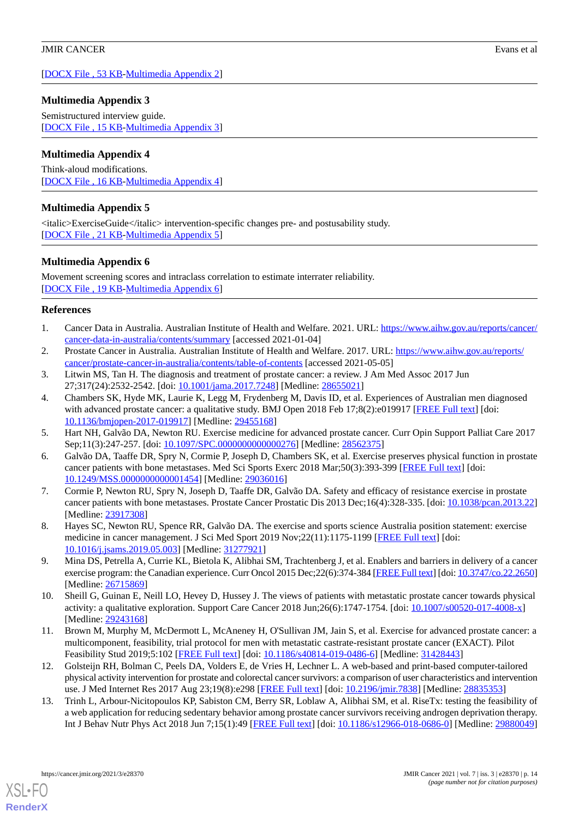[[DOCX File , 53 KB](https://jmir.org/api/download?alt_name=cancer_v7i3e28370_app2.docx&filename=d20a0ff96768c63fa738a43f6a63f666.docx)-[Multimedia Appendix 2\]](https://jmir.org/api/download?alt_name=cancer_v7i3e28370_app2.docx&filename=d20a0ff96768c63fa738a43f6a63f666.docx)

### <span id="page-15-13"></span>**Multimedia Appendix 3**

Semistructured interview guide. [[DOCX File , 15 KB](https://jmir.org/api/download?alt_name=cancer_v7i3e28370_app3.docx&filename=9aeaa97a9e0486273bf19346eba1d9d0.docx)-[Multimedia Appendix 3\]](https://jmir.org/api/download?alt_name=cancer_v7i3e28370_app3.docx&filename=9aeaa97a9e0486273bf19346eba1d9d0.docx)

### <span id="page-15-14"></span>**Multimedia Appendix 4**

<span id="page-15-15"></span>Think-aloud modifications. [[DOCX File , 16 KB](https://jmir.org/api/download?alt_name=cancer_v7i3e28370_app4.docx&filename=2e6b05d74723058b18dd65297a2e7f40.docx)-[Multimedia Appendix 4\]](https://jmir.org/api/download?alt_name=cancer_v7i3e28370_app4.docx&filename=2e6b05d74723058b18dd65297a2e7f40.docx)

### **Multimedia Appendix 5**

<span id="page-15-16"></span><italic>ExerciseGuide</italic> intervention-specific changes pre- and postusability study. [[DOCX File , 21 KB](https://jmir.org/api/download?alt_name=cancer_v7i3e28370_app5.docx&filename=013f3ef1671a0d48ded9632e0cda887c.docx)-[Multimedia Appendix 5\]](https://jmir.org/api/download?alt_name=cancer_v7i3e28370_app5.docx&filename=013f3ef1671a0d48ded9632e0cda887c.docx)

### **Multimedia Appendix 6**

Movement screening scores and intraclass correlation to estimate interrater reliability. [[DOCX File , 19 KB](https://jmir.org/api/download?alt_name=cancer_v7i3e28370_app6.docx&filename=dc03530fb01b7405d9c1de5d9fc0c814.docx)-[Multimedia Appendix 6\]](https://jmir.org/api/download?alt_name=cancer_v7i3e28370_app6.docx&filename=dc03530fb01b7405d9c1de5d9fc0c814.docx)

#### <span id="page-15-1"></span><span id="page-15-0"></span>**References**

- <span id="page-15-2"></span>1. Cancer Data in Australia. Australian Institute of Health and Welfare. 2021. URL: [https://www.aihw.gov.au/reports/cancer/](https://www.aihw.gov.au/reports/cancer/cancer-data-in-australia/contents/summary) [cancer-data-in-australia/contents/summary](https://www.aihw.gov.au/reports/cancer/cancer-data-in-australia/contents/summary) [accessed 2021-01-04]
- <span id="page-15-3"></span>2. Prostate Cancer in Australia. Australian Institute of Health and Welfare. 2017. URL: [https://www.aihw.gov.au/reports/](https://www.aihw.gov.au/reports/cancer/prostate-cancer-in-australia/contents/table-of-contents) [cancer/prostate-cancer-in-australia/contents/table-of-contents](https://www.aihw.gov.au/reports/cancer/prostate-cancer-in-australia/contents/table-of-contents) [accessed 2021-05-05]
- 3. Litwin MS, Tan H. The diagnosis and treatment of prostate cancer: a review. J Am Med Assoc 2017 Jun 27;317(24):2532-2542. [doi: [10.1001/jama.2017.7248](http://dx.doi.org/10.1001/jama.2017.7248)] [Medline: [28655021\]](http://www.ncbi.nlm.nih.gov/entrez/query.fcgi?cmd=Retrieve&db=PubMed&list_uids=28655021&dopt=Abstract)
- <span id="page-15-5"></span><span id="page-15-4"></span>4. Chambers SK, Hyde MK, Laurie K, Legg M, Frydenberg M, Davis ID, et al. Experiences of Australian men diagnosed with advanced prostate cancer: a qualitative study. BMJ Open 2018 Feb 17;8(2):e019917 [\[FREE Full text\]](https://bmjopen.bmj.com/lookup/pmidlookup?view=long&pmid=29455168) [doi: [10.1136/bmjopen-2017-019917\]](http://dx.doi.org/10.1136/bmjopen-2017-019917) [Medline: [29455168](http://www.ncbi.nlm.nih.gov/entrez/query.fcgi?cmd=Retrieve&db=PubMed&list_uids=29455168&dopt=Abstract)]
- <span id="page-15-6"></span>5. Hart NH, Galvão DA, Newton RU. Exercise medicine for advanced prostate cancer. Curr Opin Support Palliat Care 2017 Sep;11(3):247-257. [doi: [10.1097/SPC.0000000000000276](http://dx.doi.org/10.1097/SPC.0000000000000276)] [Medline: [28562375\]](http://www.ncbi.nlm.nih.gov/entrez/query.fcgi?cmd=Retrieve&db=PubMed&list_uids=28562375&dopt=Abstract)
- 6. Galvão DA, Taaffe DR, Spry N, Cormie P, Joseph D, Chambers SK, et al. Exercise preserves physical function in prostate cancer patients with bone metastases. Med Sci Sports Exerc 2018 Mar;50(3):393-399 [\[FREE Full text](http://europepmc.org/abstract/MED/29036016)] [doi: [10.1249/MSS.0000000000001454](http://dx.doi.org/10.1249/MSS.0000000000001454)] [Medline: [29036016](http://www.ncbi.nlm.nih.gov/entrez/query.fcgi?cmd=Retrieve&db=PubMed&list_uids=29036016&dopt=Abstract)]
- <span id="page-15-8"></span><span id="page-15-7"></span>7. Cormie P, Newton RU, Spry N, Joseph D, Taaffe DR, Galvão DA. Safety and efficacy of resistance exercise in prostate cancer patients with bone metastases. Prostate Cancer Prostatic Dis 2013 Dec;16(4):328-335. [doi: [10.1038/pcan.2013.22](http://dx.doi.org/10.1038/pcan.2013.22)] [Medline: [23917308](http://www.ncbi.nlm.nih.gov/entrez/query.fcgi?cmd=Retrieve&db=PubMed&list_uids=23917308&dopt=Abstract)]
- <span id="page-15-9"></span>8. Hayes SC, Newton RU, Spence RR, Galvão DA. The exercise and sports science Australia position statement: exercise medicine in cancer management. J Sci Med Sport 2019 Nov; 22(11): 1175-1199 [\[FREE Full text\]](https://linkinghub.elsevier.com/retrieve/pii/S1440-2440(18)31270-2) [doi: [10.1016/j.jsams.2019.05.003](http://dx.doi.org/10.1016/j.jsams.2019.05.003)] [Medline: [31277921](http://www.ncbi.nlm.nih.gov/entrez/query.fcgi?cmd=Retrieve&db=PubMed&list_uids=31277921&dopt=Abstract)]
- <span id="page-15-10"></span>9. Mina DS, Petrella A, Currie KL, Bietola K, Alibhai SM, Trachtenberg J, et al. Enablers and barriers in delivery of a cancer exercise program: the Canadian experience. Curr Oncol 2015 Dec;22(6):374-384 [[FREE Full text](https://www.mdpi.com/resolver?pii=conc-22-374)] [doi: [10.3747/co.22.2650\]](http://dx.doi.org/10.3747/co.22.2650) [Medline: [26715869](http://www.ncbi.nlm.nih.gov/entrez/query.fcgi?cmd=Retrieve&db=PubMed&list_uids=26715869&dopt=Abstract)]
- <span id="page-15-11"></span>10. Sheill G, Guinan E, Neill LO, Hevey D, Hussey J. The views of patients with metastatic prostate cancer towards physical activity: a qualitative exploration. Support Care Cancer 2018 Jun;26(6):1747-1754. [doi: [10.1007/s00520-017-4008-x](http://dx.doi.org/10.1007/s00520-017-4008-x)] [Medline: [29243168](http://www.ncbi.nlm.nih.gov/entrez/query.fcgi?cmd=Retrieve&db=PubMed&list_uids=29243168&dopt=Abstract)]
- <span id="page-15-12"></span>11. Brown M, Murphy M, McDermott L, McAneney H, O'Sullivan JM, Jain S, et al. Exercise for advanced prostate cancer: a multicomponent, feasibility, trial protocol for men with metastatic castrate-resistant prostate cancer (EXACT). Pilot Feasibility Stud 2019;5:102 [[FREE Full text\]](https://pilotfeasibilitystudies.biomedcentral.com/articles/10.1186/s40814-019-0486-6) [doi: [10.1186/s40814-019-0486-6](http://dx.doi.org/10.1186/s40814-019-0486-6)] [Medline: [31428443](http://www.ncbi.nlm.nih.gov/entrez/query.fcgi?cmd=Retrieve&db=PubMed&list_uids=31428443&dopt=Abstract)]
- 12. Golsteijn RH, Bolman C, Peels DA, Volders E, de Vries H, Lechner L. A web-based and print-based computer-tailored physical activity intervention for prostate and colorectal cancer survivors: a comparison of user characteristics and intervention use. J Med Internet Res 2017 Aug 23;19(8):e298 [[FREE Full text](https://www.jmir.org/2017/8/e298/)] [doi: [10.2196/jmir.7838](http://dx.doi.org/10.2196/jmir.7838)] [Medline: [28835353](http://www.ncbi.nlm.nih.gov/entrez/query.fcgi?cmd=Retrieve&db=PubMed&list_uids=28835353&dopt=Abstract)]
- 13. Trinh L, Arbour-Nicitopoulos KP, Sabiston CM, Berry SR, Loblaw A, Alibhai SM, et al. RiseTx: testing the feasibility of a web application for reducing sedentary behavior among prostate cancer survivors receiving androgen deprivation therapy. Int J Behav Nutr Phys Act 2018 Jun 7;15(1):49 [\[FREE Full text\]](https://ijbnpa.biomedcentral.com/articles/10.1186/s12966-018-0686-0) [doi: [10.1186/s12966-018-0686-0\]](http://dx.doi.org/10.1186/s12966-018-0686-0) [Medline: [29880049](http://www.ncbi.nlm.nih.gov/entrez/query.fcgi?cmd=Retrieve&db=PubMed&list_uids=29880049&dopt=Abstract)]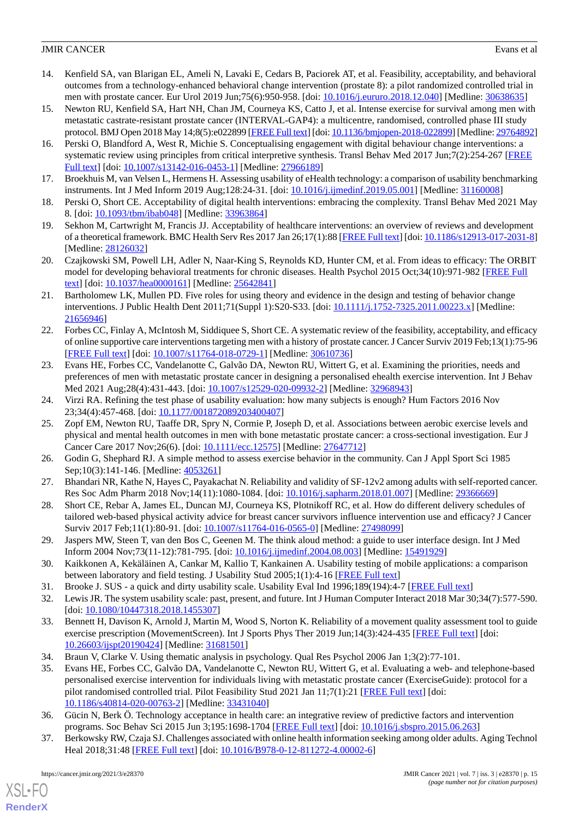- <span id="page-16-0"></span>14. Kenfield SA, van Blarigan EL, Ameli N, Lavaki E, Cedars B, Paciorek AT, et al. Feasibility, acceptability, and behavioral outcomes from a technology-enhanced behavioral change intervention (prostate 8): a pilot randomized controlled trial in men with prostate cancer. Eur Urol 2019 Jun;75(6):950-958. [doi: [10.1016/j.eururo.2018.12.040\]](http://dx.doi.org/10.1016/j.eururo.2018.12.040) [Medline: [30638635](http://www.ncbi.nlm.nih.gov/entrez/query.fcgi?cmd=Retrieve&db=PubMed&list_uids=30638635&dopt=Abstract)]
- <span id="page-16-1"></span>15. Newton RU, Kenfield SA, Hart NH, Chan JM, Courneya KS, Catto J, et al. Intense exercise for survival among men with metastatic castrate-resistant prostate cancer (INTERVAL-GAP4): a multicentre, randomised, controlled phase III study protocol. BMJ Open 2018 May 14;8(5):e022899 [\[FREE Full text](https://bmjopen.bmj.com/lookup/pmidlookup?view=long&pmid=29764892)] [doi: [10.1136/bmjopen-2018-022899](http://dx.doi.org/10.1136/bmjopen-2018-022899)] [Medline: [29764892\]](http://www.ncbi.nlm.nih.gov/entrez/query.fcgi?cmd=Retrieve&db=PubMed&list_uids=29764892&dopt=Abstract)
- <span id="page-16-2"></span>16. Perski O, Blandford A, West R, Michie S. Conceptualising engagement with digital behaviour change interventions: a systematic review using principles from critical interpretive synthesis. Transl Behav Med 2017 Jun;7(2):254-267 [[FREE](http://europepmc.org/abstract/MED/27966189) [Full text\]](http://europepmc.org/abstract/MED/27966189) [doi: [10.1007/s13142-016-0453-1](http://dx.doi.org/10.1007/s13142-016-0453-1)] [Medline: [27966189](http://www.ncbi.nlm.nih.gov/entrez/query.fcgi?cmd=Retrieve&db=PubMed&list_uids=27966189&dopt=Abstract)]
- <span id="page-16-4"></span><span id="page-16-3"></span>17. Broekhuis M, van Velsen L, Hermens H. Assessing usability of eHealth technology: a comparison of usability benchmarking instruments. Int J Med Inform 2019 Aug;128:24-31. [doi: [10.1016/j.ijmedinf.2019.05.001](http://dx.doi.org/10.1016/j.ijmedinf.2019.05.001)] [Medline: [31160008](http://www.ncbi.nlm.nih.gov/entrez/query.fcgi?cmd=Retrieve&db=PubMed&list_uids=31160008&dopt=Abstract)]
- <span id="page-16-5"></span>18. Perski O, Short CE. Acceptability of digital health interventions: embracing the complexity. Transl Behav Med 2021 May 8. [doi: [10.1093/tbm/ibab048\]](http://dx.doi.org/10.1093/tbm/ibab048) [Medline: [33963864\]](http://www.ncbi.nlm.nih.gov/entrez/query.fcgi?cmd=Retrieve&db=PubMed&list_uids=33963864&dopt=Abstract)
- <span id="page-16-6"></span>19. Sekhon M, Cartwright M, Francis JJ. Acceptability of healthcare interventions: an overview of reviews and development of a theoretical framework. BMC Health Serv Res 2017 Jan 26;17(1):88 [\[FREE Full text\]](https://bmchealthservres.biomedcentral.com/articles/10.1186/s12913-017-2031-8) [doi: [10.1186/s12913-017-2031-8\]](http://dx.doi.org/10.1186/s12913-017-2031-8) [Medline: [28126032](http://www.ncbi.nlm.nih.gov/entrez/query.fcgi?cmd=Retrieve&db=PubMed&list_uids=28126032&dopt=Abstract)]
- <span id="page-16-7"></span>20. Czajkowski SM, Powell LH, Adler N, Naar-King S, Reynolds KD, Hunter CM, et al. From ideas to efficacy: The ORBIT model for developing behavioral treatments for chronic diseases. Health Psychol 2015 Oct;34(10):971-982 [[FREE Full](http://europepmc.org/abstract/MED/25642841) [text](http://europepmc.org/abstract/MED/25642841)] [doi: [10.1037/hea0000161\]](http://dx.doi.org/10.1037/hea0000161) [Medline: [25642841](http://www.ncbi.nlm.nih.gov/entrez/query.fcgi?cmd=Retrieve&db=PubMed&list_uids=25642841&dopt=Abstract)]
- <span id="page-16-8"></span>21. Bartholomew LK, Mullen PD. Five roles for using theory and evidence in the design and testing of behavior change interventions. J Public Health Dent 2011;71(Suppl 1):S20-S33. [doi: [10.1111/j.1752-7325.2011.00223.x](http://dx.doi.org/10.1111/j.1752-7325.2011.00223.x)] [Medline: [21656946](http://www.ncbi.nlm.nih.gov/entrez/query.fcgi?cmd=Retrieve&db=PubMed&list_uids=21656946&dopt=Abstract)]
- <span id="page-16-9"></span>22. Forbes CC, Finlay A, McIntosh M, Siddiquee S, Short CE. A systematic review of the feasibility, acceptability, and efficacy of online supportive care interventions targeting men with a history of prostate cancer. J Cancer Surviv 2019 Feb;13(1):75-96 [[FREE Full text](http://europepmc.org/abstract/MED/30610736)] [doi: [10.1007/s11764-018-0729-1\]](http://dx.doi.org/10.1007/s11764-018-0729-1) [Medline: [30610736](http://www.ncbi.nlm.nih.gov/entrez/query.fcgi?cmd=Retrieve&db=PubMed&list_uids=30610736&dopt=Abstract)]
- <span id="page-16-11"></span><span id="page-16-10"></span>23. Evans HE, Forbes CC, Vandelanotte C, Galvão DA, Newton RU, Wittert G, et al. Examining the priorities, needs and preferences of men with metastatic prostate cancer in designing a personalised ehealth exercise intervention. Int J Behav Med 2021 Aug;28(4):431-443. [doi: [10.1007/s12529-020-09932-2](http://dx.doi.org/10.1007/s12529-020-09932-2)] [Medline: [32968943\]](http://www.ncbi.nlm.nih.gov/entrez/query.fcgi?cmd=Retrieve&db=PubMed&list_uids=32968943&dopt=Abstract)
- 24. Virzi RA. Refining the test phase of usability evaluation: how many subjects is enough? Hum Factors 2016 Nov 23;34(4):457-468. [doi: [10.1177/001872089203400407\]](http://dx.doi.org/10.1177/001872089203400407)
- <span id="page-16-13"></span><span id="page-16-12"></span>25. Zopf EM, Newton RU, Taaffe DR, Spry N, Cormie P, Joseph D, et al. Associations between aerobic exercise levels and physical and mental health outcomes in men with bone metastatic prostate cancer: a cross-sectional investigation. Eur J Cancer Care 2017 Nov;26(6). [doi: [10.1111/ecc.12575](http://dx.doi.org/10.1111/ecc.12575)] [Medline: [27647712\]](http://www.ncbi.nlm.nih.gov/entrez/query.fcgi?cmd=Retrieve&db=PubMed&list_uids=27647712&dopt=Abstract)
- <span id="page-16-14"></span>26. Godin G, Shephard RJ. A simple method to assess exercise behavior in the community. Can J Appl Sport Sci 1985 Sep;10(3):141-146. [Medline: [4053261](http://www.ncbi.nlm.nih.gov/entrez/query.fcgi?cmd=Retrieve&db=PubMed&list_uids=4053261&dopt=Abstract)]
- <span id="page-16-15"></span>27. Bhandari NR, Kathe N, Hayes C, Payakachat N. Reliability and validity of SF-12v2 among adults with self-reported cancer. Res Soc Adm Pharm 2018 Nov;14(11):1080-1084. [doi: [10.1016/j.sapharm.2018.01.007](http://dx.doi.org/10.1016/j.sapharm.2018.01.007)] [Medline: [29366669\]](http://www.ncbi.nlm.nih.gov/entrez/query.fcgi?cmd=Retrieve&db=PubMed&list_uids=29366669&dopt=Abstract)
- <span id="page-16-16"></span>28. Short CE, Rebar A, James EL, Duncan MJ, Courneya KS, Plotnikoff RC, et al. How do different delivery schedules of tailored web-based physical activity advice for breast cancer survivors influence intervention use and efficacy? J Cancer Surviv 2017 Feb;11(1):80-91. [doi: [10.1007/s11764-016-0565-0](http://dx.doi.org/10.1007/s11764-016-0565-0)] [Medline: [27498099\]](http://www.ncbi.nlm.nih.gov/entrez/query.fcgi?cmd=Retrieve&db=PubMed&list_uids=27498099&dopt=Abstract)
- <span id="page-16-18"></span><span id="page-16-17"></span>29. Jaspers MW, Steen T, van den Bos C, Geenen M. The think aloud method: a guide to user interface design. Int J Med Inform 2004 Nov;73(11-12):781-795. [doi: [10.1016/j.ijmedinf.2004.08.003\]](http://dx.doi.org/10.1016/j.ijmedinf.2004.08.003) [Medline: [15491929](http://www.ncbi.nlm.nih.gov/entrez/query.fcgi?cmd=Retrieve&db=PubMed&list_uids=15491929&dopt=Abstract)]
- <span id="page-16-19"></span>30. Kaikkonen A, Kekäläinen A, Cankar M, Kallio T, Kankainen A. Usability testing of mobile applications: a comparison between laboratory and field testing. J Usability Stud 2005;1(1):4-16 [[FREE Full text](https://www.researchgate.net/publication/285747122_Usability_Testing_of_Mobile_Applications_A_Comparison_between_Laboratory_and_Field_Testing)]
- <span id="page-16-20"></span>31. Brooke J. SUS - a quick and dirty usability scale. Usability Eval Ind 1996;189(194):4-7 [[FREE Full text](https://www.researchgate.net/publication/228593520_SUS_A_quick_and_dirty_usability_scale)]
- <span id="page-16-21"></span>32. Lewis JR. The system usability scale: past, present, and future. Int J Human Computer Interact 2018 Mar 30;34(7):577-590. [doi: [10.1080/10447318.2018.1455307](http://dx.doi.org/10.1080/10447318.2018.1455307)]
- 33. Bennett H, Davison K, Arnold J, Martin M, Wood S, Norton K. Reliability of a movement quality assessment tool to guide exercise prescription (MovementScreen). Int J Sports Phys Ther 2019 Jun;14(3):424-435 [[FREE Full text](http://europepmc.org/abstract/MED/31681501)] [doi: [10.26603/ijspt20190424](http://dx.doi.org/10.26603/ijspt20190424)] [Medline: [31681501\]](http://www.ncbi.nlm.nih.gov/entrez/query.fcgi?cmd=Retrieve&db=PubMed&list_uids=31681501&dopt=Abstract)
- <span id="page-16-22"></span>34. Braun V, Clarke V. Using thematic analysis in psychology. Qual Res Psychol 2006 Jan 1;3(2):77-101.
- <span id="page-16-23"></span>35. Evans HE, Forbes CC, Galvão DA, Vandelanotte C, Newton RU, Wittert G, et al. Evaluating a web- and telephone-based personalised exercise intervention for individuals living with metastatic prostate cancer (ExerciseGuide): protocol for a pilot randomised controlled trial. Pilot Feasibility Stud 2021 Jan  $11;7(1):21$  [\[FREE Full text](https://pilotfeasibilitystudies.biomedcentral.com/articles/10.1186/s40814-020-00763-2)] [doi: [10.1186/s40814-020-00763-2\]](http://dx.doi.org/10.1186/s40814-020-00763-2) [Medline: [33431040\]](http://www.ncbi.nlm.nih.gov/entrez/query.fcgi?cmd=Retrieve&db=PubMed&list_uids=33431040&dopt=Abstract)
- 36. Gücin N, Berk Ö. Technology acceptance in health care: an integrative review of predictive factors and intervention programs. Soc Behav Sci 2015 Jun 3;195:1698-1704 [[FREE Full text\]](https://www.sciencedirect.com/science/article/pii/S1877042815037428) [doi: [10.1016/j.sbspro.2015.06.263](http://dx.doi.org/10.1016/j.sbspro.2015.06.263)]
- 37. Berkowsky RW, Czaja SJ. Challenges associated with online health information seeking among older adults. Aging Technol Heal 2018;31:48 [\[FREE Full text\]](https://miami.pure.elsevier.com/en/publications/challenges-associated-with-online-health-information-seeking-amon) [doi: [10.1016/B978-0-12-811272-4.00002-6](http://dx.doi.org/10.1016/B978-0-12-811272-4.00002-6)]